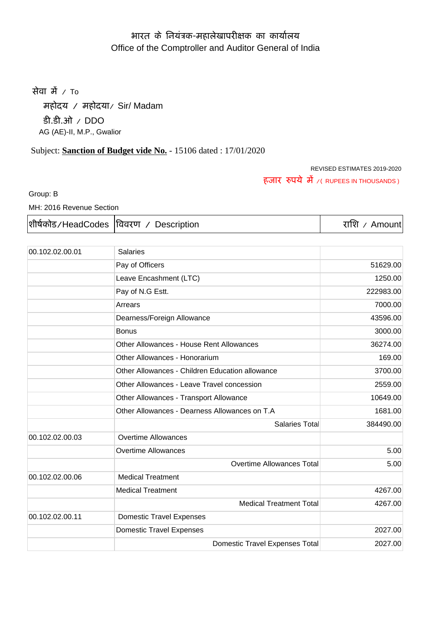# आरत के नियंत्रक-महालेखापरीक्षक का कार्यालय Office of the Comptroller and Auditor General of India

सेवा में  $\sqrt{10}$ 

महोदय / महोदया/ Sir/ Madam डी.डी.ओ / DDO AG (AE)-II, M.P., Gwalior

# Subject: **Sanction of Budget vide No.** - 15106 dated : 17/01/2020

REVISED ESTIMATES 2019-2020 हजार रुपये में ⁄( RUPEES IN THOUSANDS )

Group: B

MH: 2016 Revenue Section

|  | शीर्षकोड/HeadCodes विवरण / Description | राशि / Amount |
|--|----------------------------------------|---------------|
|--|----------------------------------------|---------------|

| 00.102.02.00.01 | <b>Salaries</b>                                 |           |
|-----------------|-------------------------------------------------|-----------|
|                 | Pay of Officers                                 | 51629.00  |
|                 | Leave Encashment (LTC)                          | 1250.00   |
|                 | Pay of N.G Estt.                                | 222983.00 |
|                 | Arrears                                         | 7000.00   |
|                 | Dearness/Foreign Allowance                      | 43596.00  |
|                 | <b>Bonus</b>                                    | 3000.00   |
|                 | <b>Other Allowances - House Rent Allowances</b> | 36274.00  |
|                 | Other Allowances - Honorarium                   | 169.00    |
|                 | Other Allowances - Children Education allowance | 3700.00   |
|                 | Other Allowances - Leave Travel concession      | 2559.00   |
|                 | Other Allowances - Transport Allowance          | 10649.00  |
|                 | Other Allowances - Dearness Allowances on T.A   | 1681.00   |
|                 | <b>Salaries Total</b>                           | 384490.00 |
| 00.102.02.00.03 | <b>Overtime Allowances</b>                      |           |
|                 | <b>Overtime Allowances</b>                      | 5.00      |
|                 | <b>Overtime Allowances Total</b>                | 5.00      |
| 00.102.02.00.06 | <b>Medical Treatment</b>                        |           |
|                 | <b>Medical Treatment</b>                        | 4267.00   |
|                 | <b>Medical Treatment Total</b>                  | 4267.00   |
| 00.102.02.00.11 | <b>Domestic Travel Expenses</b>                 |           |
|                 | <b>Domestic Travel Expenses</b>                 | 2027.00   |
|                 | <b>Domestic Travel Expenses Total</b>           | 2027.00   |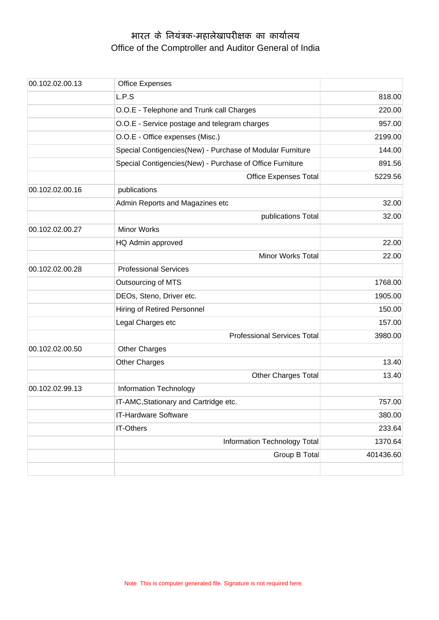# आरत के नियंत्रक-महालेखापरीक्षक का कार्यालय Office of the Comptroller and Auditor General of India

| 00.102.02.00.13 | <b>Office Expenses</b>                                    |           |
|-----------------|-----------------------------------------------------------|-----------|
|                 | L.P.S                                                     | 818.00    |
|                 | O.O.E - Telephone and Trunk call Charges                  | 220.00    |
|                 | O.O.E - Service postage and telegram charges              | 957.00    |
|                 | O.O.E - Office expenses (Misc.)                           | 2199.00   |
|                 | Special Contigencies(New) - Purchase of Modular Furniture | 144.00    |
|                 | Special Contigencies(New) - Purchase of Office Furniture  | 891.56    |
|                 | <b>Office Expenses Total</b>                              | 5229.56   |
| 00.102.02.00.16 | publications                                              |           |
|                 | Admin Reports and Magazines etc                           | 32.00     |
|                 | publications Total                                        | 32.00     |
| 00.102.02.00.27 | <b>Minor Works</b>                                        |           |
|                 | HQ Admin approved                                         | 22.00     |
|                 | Minor Works Total                                         | 22.00     |
| 00.102.02.00.28 | <b>Professional Services</b>                              |           |
|                 | Outsourcing of MTS                                        | 1768.00   |
|                 | DEOs, Steno, Driver etc.                                  | 1905.00   |
|                 | Hiring of Retired Personnel                               | 150.00    |
|                 | Legal Charges etc                                         | 157.00    |
|                 | <b>Professional Services Total</b>                        | 3980.00   |
| 00.102.02.00.50 | <b>Other Charges</b>                                      |           |
|                 | Other Charges                                             | 13.40     |
|                 | <b>Other Charges Total</b>                                | 13.40     |
| 00.102.02.99.13 | Information Technology                                    |           |
|                 | IT-AMC, Stationary and Cartridge etc.                     | 757.00    |
|                 | IT-Hardware Software                                      | 380.00    |
|                 | <b>IT-Others</b>                                          | 233.64    |
|                 | Information Technology Total                              | 1370.64   |
|                 | Group B Total                                             | 401436.60 |
|                 |                                                           |           |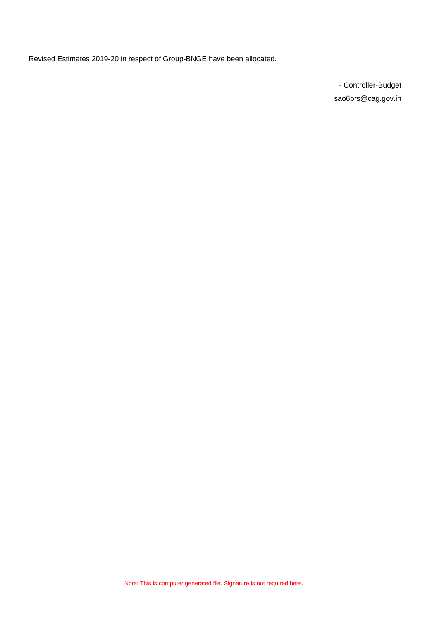Revised Estimates 2019-20 in respect of Group-BNGE have been allocated.

- Controller-Budget sao6brs@cag.gov.in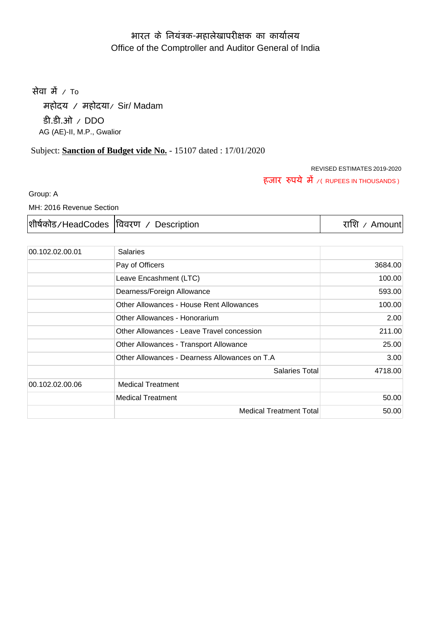# आरत के नियंत्रक-महालेखापरीक्षक का कार्यालय Office of the Comptroller and Auditor General of India

सेवा में  $\sqrt{10}$ 

महोदय / महोदया/ Sir/ Madam डी.डी.ओ / DDO AG (AE)-II, M.P., Gwalior

# Subject: **Sanction of Budget vide No.** - 15107 dated : 17/01/2020

#### REVISED ESTIMATES 2019-2020 हजार रुपये में ⁄( RUPEES IN THOUSANDS )

Group: A

MH: 2016 Revenue Section

|  | शीर्षकोड/HeadCodes  विवरण / Description | राशि / Amount |
|--|-----------------------------------------|---------------|
|--|-----------------------------------------|---------------|

| 00.102.02.00.01 | <b>Salaries</b>                               |         |
|-----------------|-----------------------------------------------|---------|
|                 | Pay of Officers                               | 3684.00 |
|                 | Leave Encashment (LTC)                        | 100.00  |
|                 | Dearness/Foreign Allowance                    | 593.00  |
|                 | Other Allowances - House Rent Allowances      | 100.00  |
|                 | Other Allowances - Honorarium                 | 2.00    |
|                 | Other Allowances - Leave Travel concession    | 211.00  |
|                 | Other Allowances - Transport Allowance        | 25.00   |
|                 | Other Allowances - Dearness Allowances on T.A | 3.00    |
|                 | <b>Salaries Total</b>                         | 4718.00 |
| 00.102.02.00.06 | <b>Medical Treatment</b>                      |         |
|                 | <b>Medical Treatment</b>                      | 50.00   |
|                 | <b>Medical Treatment Total</b>                | 50.00   |